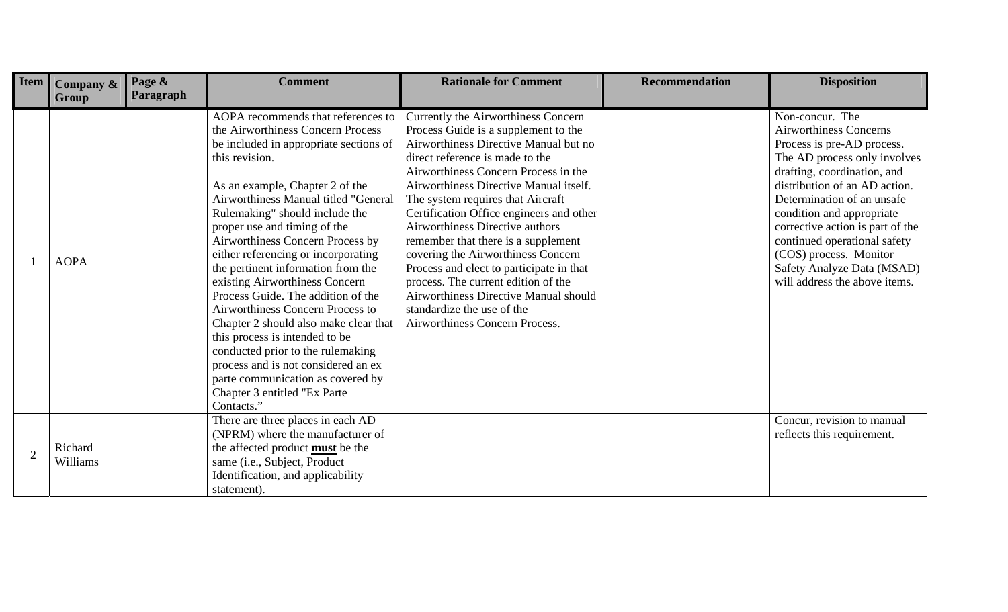| Item           | Company &<br>Group  | Page &<br>Paragraph | <b>Comment</b>                                                                                                                                                                                                                                                                                                                                                                                                                                                                                                                                                                                                                                                                                                                                          | <b>Rationale for Comment</b>                                                                                                                                                                                                                                                                                                                                                                                                                                                                                                                                                                                                           | <b>Recommendation</b> | <b>Disposition</b>                                                                                                                                                                                                                                                                                                                                                                                     |
|----------------|---------------------|---------------------|---------------------------------------------------------------------------------------------------------------------------------------------------------------------------------------------------------------------------------------------------------------------------------------------------------------------------------------------------------------------------------------------------------------------------------------------------------------------------------------------------------------------------------------------------------------------------------------------------------------------------------------------------------------------------------------------------------------------------------------------------------|----------------------------------------------------------------------------------------------------------------------------------------------------------------------------------------------------------------------------------------------------------------------------------------------------------------------------------------------------------------------------------------------------------------------------------------------------------------------------------------------------------------------------------------------------------------------------------------------------------------------------------------|-----------------------|--------------------------------------------------------------------------------------------------------------------------------------------------------------------------------------------------------------------------------------------------------------------------------------------------------------------------------------------------------------------------------------------------------|
|                | <b>AOPA</b>         |                     | AOPA recommends that references to<br>the Airworthiness Concern Process<br>be included in appropriate sections of<br>this revision.<br>As an example, Chapter 2 of the<br>Airworthiness Manual titled "General<br>Rulemaking" should include the<br>proper use and timing of the<br>Airworthiness Concern Process by<br>either referencing or incorporating<br>the pertinent information from the<br>existing Airworthiness Concern<br>Process Guide. The addition of the<br>Airworthiness Concern Process to<br>Chapter 2 should also make clear that<br>this process is intended to be<br>conducted prior to the rulemaking<br>process and is not considered an ex<br>parte communication as covered by<br>Chapter 3 entitled "Ex Parte<br>Contacts." | Currently the Airworthiness Concern<br>Process Guide is a supplement to the<br>Airworthiness Directive Manual but no<br>direct reference is made to the<br>Airworthiness Concern Process in the<br>Airworthiness Directive Manual itself.<br>The system requires that Aircraft<br>Certification Office engineers and other<br>Airworthiness Directive authors<br>remember that there is a supplement<br>covering the Airworthiness Concern<br>Process and elect to participate in that<br>process. The current edition of the<br>Airworthiness Directive Manual should<br>standardize the use of the<br>Airworthiness Concern Process. |                       | Non-concur. The<br><b>Airworthiness Concerns</b><br>Process is pre-AD process.<br>The AD process only involves<br>drafting, coordination, and<br>distribution of an AD action.<br>Determination of an unsafe<br>condition and appropriate<br>corrective action is part of the<br>continued operational safety<br>(COS) process. Monitor<br>Safety Analyze Data (MSAD)<br>will address the above items. |
| $\overline{2}$ | Richard<br>Williams |                     | There are three places in each AD<br>(NPRM) where the manufacturer of<br>the affected product <b>must</b> be the<br>same (i.e., Subject, Product<br>Identification, and applicability<br>statement).                                                                                                                                                                                                                                                                                                                                                                                                                                                                                                                                                    |                                                                                                                                                                                                                                                                                                                                                                                                                                                                                                                                                                                                                                        |                       | Concur, revision to manual<br>reflects this requirement.                                                                                                                                                                                                                                                                                                                                               |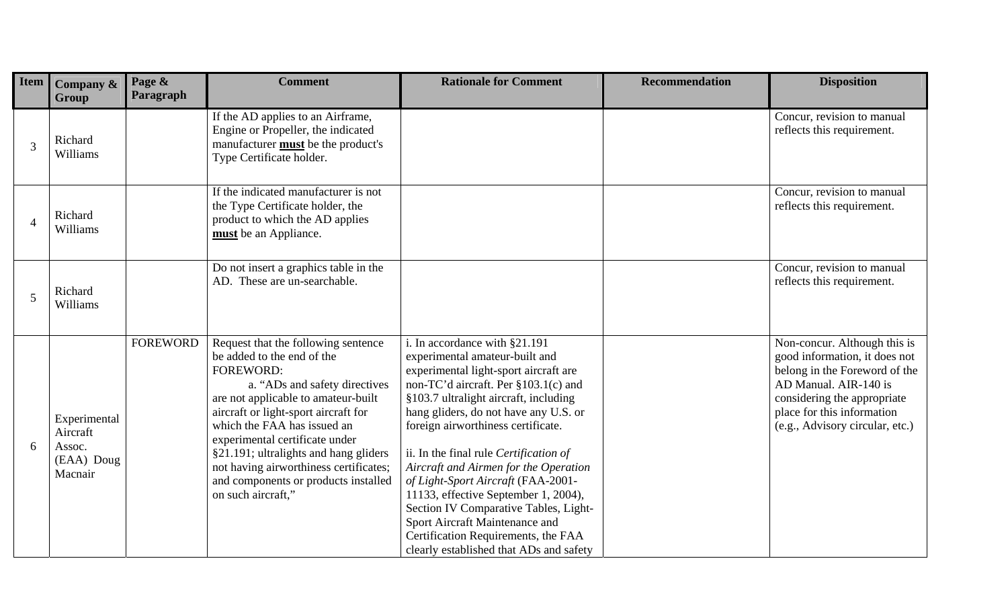| Item                     | Company &<br>Group                                          | Page &<br>Paragraph | <b>Comment</b>                                                                                                                                                                                                                                                                                                                                                                                                          | <b>Rationale for Comment</b>                                                                                                                                                                                                                                                                                                                                                                                                                                                                                                                                                                           | <b>Recommendation</b> | <b>Disposition</b>                                                                                                                                                                                                      |
|--------------------------|-------------------------------------------------------------|---------------------|-------------------------------------------------------------------------------------------------------------------------------------------------------------------------------------------------------------------------------------------------------------------------------------------------------------------------------------------------------------------------------------------------------------------------|--------------------------------------------------------------------------------------------------------------------------------------------------------------------------------------------------------------------------------------------------------------------------------------------------------------------------------------------------------------------------------------------------------------------------------------------------------------------------------------------------------------------------------------------------------------------------------------------------------|-----------------------|-------------------------------------------------------------------------------------------------------------------------------------------------------------------------------------------------------------------------|
| 3                        | Richard<br>Williams                                         |                     | If the AD applies to an Airframe,<br>Engine or Propeller, the indicated<br>manufacturer <b>must</b> be the product's<br>Type Certificate holder.                                                                                                                                                                                                                                                                        |                                                                                                                                                                                                                                                                                                                                                                                                                                                                                                                                                                                                        |                       | Concur, revision to manual<br>reflects this requirement.                                                                                                                                                                |
| $\overline{\mathcal{A}}$ | Richard<br>Williams                                         |                     | If the indicated manufacturer is not<br>the Type Certificate holder, the<br>product to which the AD applies<br>must be an Appliance.                                                                                                                                                                                                                                                                                    |                                                                                                                                                                                                                                                                                                                                                                                                                                                                                                                                                                                                        |                       | Concur, revision to manual<br>reflects this requirement.                                                                                                                                                                |
| 5                        | Richard<br>Williams                                         |                     | Do not insert a graphics table in the<br>AD. These are un-searchable.                                                                                                                                                                                                                                                                                                                                                   |                                                                                                                                                                                                                                                                                                                                                                                                                                                                                                                                                                                                        |                       | Concur, revision to manual<br>reflects this requirement.                                                                                                                                                                |
| 6                        | Experimental<br>Aircraft<br>Assoc.<br>(EAA) Doug<br>Macnair | <b>FOREWORD</b>     | Request that the following sentence<br>be added to the end of the<br><b>FOREWORD:</b><br>a. "ADs and safety directives<br>are not applicable to amateur-built<br>aircraft or light-sport aircraft for<br>which the FAA has issued an<br>experimental certificate under<br>§21.191; ultralights and hang gliders<br>not having airworthiness certificates;<br>and components or products installed<br>on such aircraft," | i. In accordance with §21.191<br>experimental amateur-built and<br>experimental light-sport aircraft are<br>non-TC'd aircraft. Per §103.1(c) and<br>§103.7 ultralight aircraft, including<br>hang gliders, do not have any U.S. or<br>foreign airworthiness certificate.<br>ii. In the final rule Certification of<br>Aircraft and Airmen for the Operation<br>of Light-Sport Aircraft (FAA-2001-<br>11133, effective September 1, 2004),<br>Section IV Comparative Tables, Light-<br>Sport Aircraft Maintenance and<br>Certification Requirements, the FAA<br>clearly established that ADs and safety |                       | Non-concur. Although this is<br>good information, it does not<br>belong in the Foreword of the<br>AD Manual. AIR-140 is<br>considering the appropriate<br>place for this information<br>(e.g., Advisory circular, etc.) |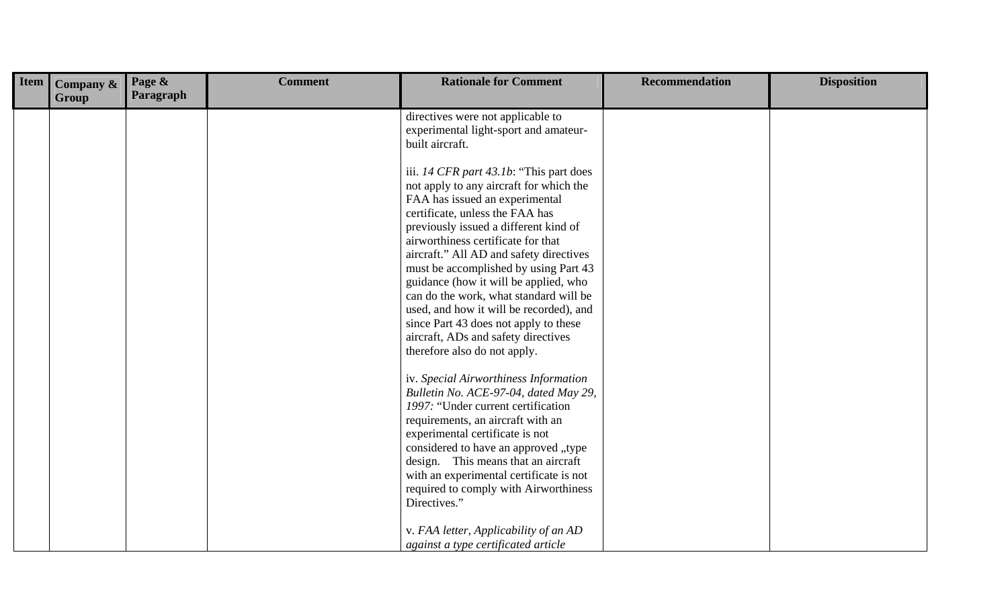| <b>Item</b> | Company &<br>Group | Page &<br>Paragraph | <b>Comment</b> | <b>Rationale for Comment</b>                                                                                                                                                                                                                                                                                                                                                                                                                                                                                                                                             | <b>Recommendation</b> | <b>Disposition</b> |
|-------------|--------------------|---------------------|----------------|--------------------------------------------------------------------------------------------------------------------------------------------------------------------------------------------------------------------------------------------------------------------------------------------------------------------------------------------------------------------------------------------------------------------------------------------------------------------------------------------------------------------------------------------------------------------------|-----------------------|--------------------|
|             |                    |                     |                | directives were not applicable to<br>experimental light-sport and amateur-<br>built aircraft.                                                                                                                                                                                                                                                                                                                                                                                                                                                                            |                       |                    |
|             |                    |                     |                | iii. 14 CFR part 43.1b: "This part does<br>not apply to any aircraft for which the<br>FAA has issued an experimental<br>certificate, unless the FAA has<br>previously issued a different kind of<br>airworthiness certificate for that<br>aircraft." All AD and safety directives<br>must be accomplished by using Part 43<br>guidance (how it will be applied, who<br>can do the work, what standard will be<br>used, and how it will be recorded), and<br>since Part 43 does not apply to these<br>aircraft, ADs and safety directives<br>therefore also do not apply. |                       |                    |
|             |                    |                     |                | iv. Special Airworthiness Information<br>Bulletin No. ACE-97-04, dated May 29,<br>1997: "Under current certification<br>requirements, an aircraft with an<br>experimental certificate is not<br>considered to have an approved "type<br>design. This means that an aircraft<br>with an experimental certificate is not<br>required to comply with Airworthiness<br>Directives."                                                                                                                                                                                          |                       |                    |
|             |                    |                     |                | v. FAA letter, Applicability of an AD<br>against a type certificated article                                                                                                                                                                                                                                                                                                                                                                                                                                                                                             |                       |                    |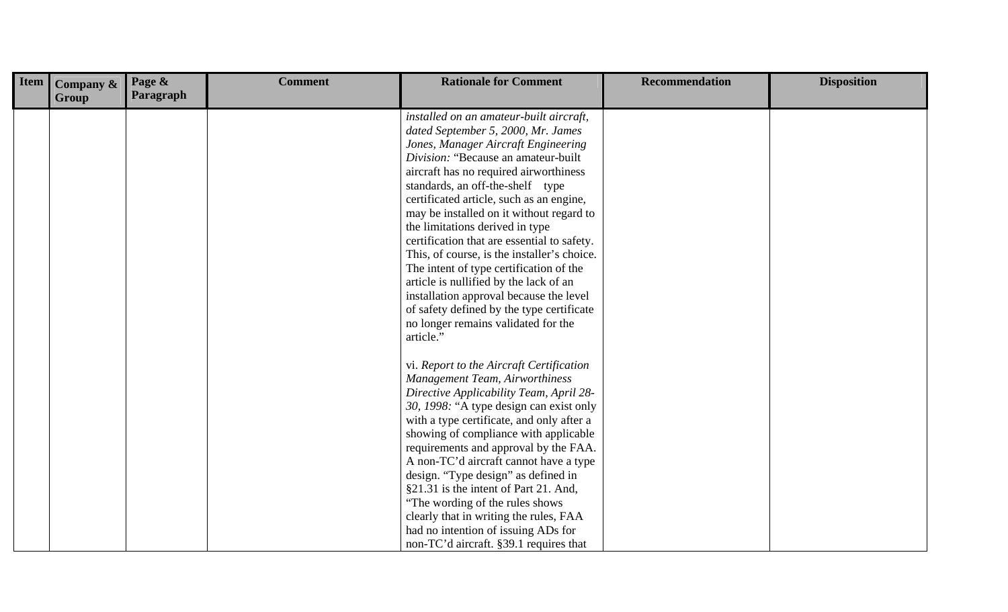| <b>Item</b> | Company &<br>Group | Page &<br>Paragraph | <b>Comment</b> | <b>Rationale for Comment</b>                                                                                                                                                                                                                                                                                                                                                                                                                                                                                                                                                                                                                                                                        | <b>Recommendation</b> | <b>Disposition</b> |
|-------------|--------------------|---------------------|----------------|-----------------------------------------------------------------------------------------------------------------------------------------------------------------------------------------------------------------------------------------------------------------------------------------------------------------------------------------------------------------------------------------------------------------------------------------------------------------------------------------------------------------------------------------------------------------------------------------------------------------------------------------------------------------------------------------------------|-----------------------|--------------------|
|             |                    |                     |                | installed on an amateur-built aircraft,<br>dated September 5, 2000, Mr. James<br>Jones, Manager Aircraft Engineering<br>Division: "Because an amateur-built<br>aircraft has no required airworthiness<br>standards, an off-the-shelf type<br>certificated article, such as an engine,<br>may be installed on it without regard to<br>the limitations derived in type<br>certification that are essential to safety.<br>This, of course, is the installer's choice.<br>The intent of type certification of the<br>article is nullified by the lack of an<br>installation approval because the level<br>of safety defined by the type certificate<br>no longer remains validated for the<br>article." |                       |                    |
|             |                    |                     |                | vi. Report to the Aircraft Certification<br>Management Team, Airworthiness<br>Directive Applicability Team, April 28-<br>30, 1998: "A type design can exist only<br>with a type certificate, and only after a<br>showing of compliance with applicable<br>requirements and approval by the FAA.<br>A non-TC'd aircraft cannot have a type<br>design. "Type design" as defined in<br>§21.31 is the intent of Part 21. And,<br>"The wording of the rules shows<br>clearly that in writing the rules, FAA<br>had no intention of issuing ADs for<br>non-TC'd aircraft. §39.1 requires that                                                                                                             |                       |                    |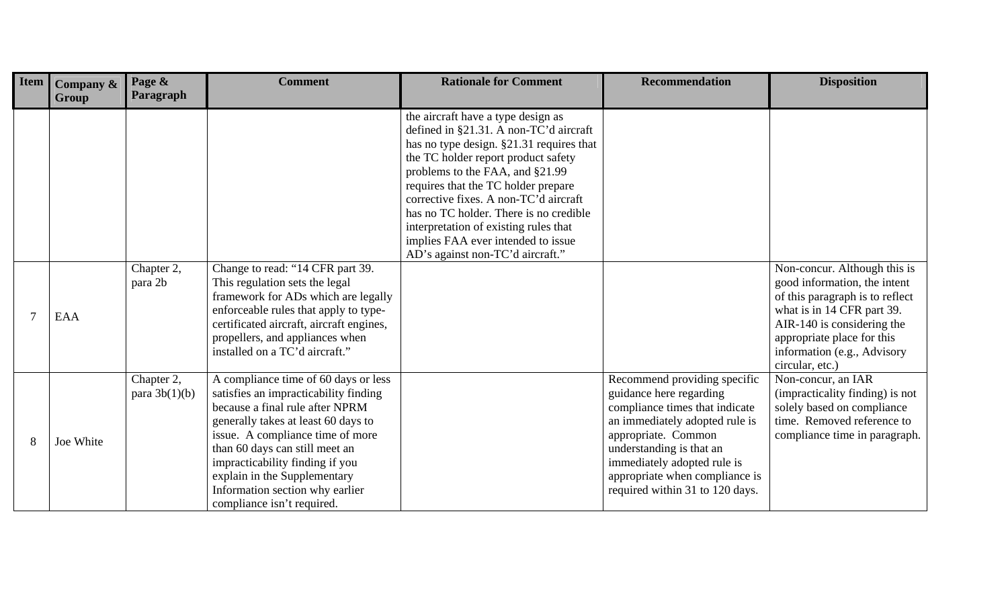| <b>Item</b> | Company $\&$<br>Group | Page &<br>Paragraph           | <b>Comment</b>                                                                                                                                                                                                                                                                                                                                                    | <b>Rationale for Comment</b>                                                                                                                                                                                                                                                                                                                                                                                                                    | <b>Recommendation</b>                                                                                                                                                                                                                                                              | <b>Disposition</b>                                                                                                                                                                                                                          |
|-------------|-----------------------|-------------------------------|-------------------------------------------------------------------------------------------------------------------------------------------------------------------------------------------------------------------------------------------------------------------------------------------------------------------------------------------------------------------|-------------------------------------------------------------------------------------------------------------------------------------------------------------------------------------------------------------------------------------------------------------------------------------------------------------------------------------------------------------------------------------------------------------------------------------------------|------------------------------------------------------------------------------------------------------------------------------------------------------------------------------------------------------------------------------------------------------------------------------------|---------------------------------------------------------------------------------------------------------------------------------------------------------------------------------------------------------------------------------------------|
|             |                       |                               |                                                                                                                                                                                                                                                                                                                                                                   | the aircraft have a type design as<br>defined in §21.31. A non-TC'd aircraft<br>has no type design. §21.31 requires that<br>the TC holder report product safety<br>problems to the FAA, and §21.99<br>requires that the TC holder prepare<br>corrective fixes. A non-TC'd aircraft<br>has no TC holder. There is no credible<br>interpretation of existing rules that<br>implies FAA ever intended to issue<br>AD's against non-TC'd aircraft." |                                                                                                                                                                                                                                                                                    |                                                                                                                                                                                                                                             |
|             | EAA                   | Chapter 2,<br>para 2b         | Change to read: "14 CFR part 39.<br>This regulation sets the legal<br>framework for ADs which are legally<br>enforceable rules that apply to type-<br>certificated aircraft, aircraft engines,<br>propellers, and appliances when<br>installed on a TC'd aircraft."                                                                                               |                                                                                                                                                                                                                                                                                                                                                                                                                                                 |                                                                                                                                                                                                                                                                                    | Non-concur. Although this is<br>good information, the intent<br>of this paragraph is to reflect<br>what is in 14 CFR part 39.<br>AIR-140 is considering the<br>appropriate place for this<br>information (e.g., Advisory<br>circular, etc.) |
|             | Joe White             | Chapter 2,<br>para $3b(1)(b)$ | A compliance time of 60 days or less<br>satisfies an impracticability finding<br>because a final rule after NPRM<br>generally takes at least 60 days to<br>issue. A compliance time of more<br>than 60 days can still meet an<br>impracticability finding if you<br>explain in the Supplementary<br>Information section why earlier<br>compliance isn't required. |                                                                                                                                                                                                                                                                                                                                                                                                                                                 | Recommend providing specific<br>guidance here regarding<br>compliance times that indicate<br>an immediately adopted rule is<br>appropriate. Common<br>understanding is that an<br>immediately adopted rule is<br>appropriate when compliance is<br>required within 31 to 120 days. | Non-concur, an IAR<br>(impracticality finding) is not<br>solely based on compliance<br>time. Removed reference to<br>compliance time in paragraph.                                                                                          |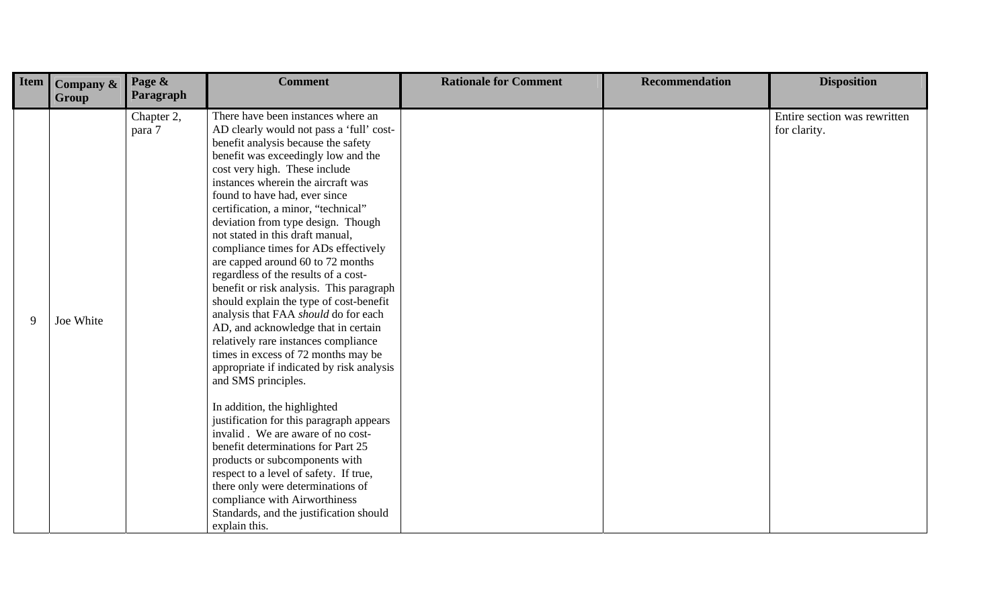| <b>Item</b> | Company &<br>Group | Page &<br>Paragraph  | <b>Comment</b>                                                                                                                                                                                                                                                                                                                                                                                                                                                                                                                                                                                                                                                                                                                                                                                                                                                                                                                                                                                                                                                                                                                                                                                           | <b>Rationale for Comment</b> | <b>Recommendation</b> | <b>Disposition</b>                           |
|-------------|--------------------|----------------------|----------------------------------------------------------------------------------------------------------------------------------------------------------------------------------------------------------------------------------------------------------------------------------------------------------------------------------------------------------------------------------------------------------------------------------------------------------------------------------------------------------------------------------------------------------------------------------------------------------------------------------------------------------------------------------------------------------------------------------------------------------------------------------------------------------------------------------------------------------------------------------------------------------------------------------------------------------------------------------------------------------------------------------------------------------------------------------------------------------------------------------------------------------------------------------------------------------|------------------------------|-----------------------|----------------------------------------------|
| 9           | Joe White          | Chapter 2,<br>para 7 | There have been instances where an<br>AD clearly would not pass a 'full' cost-<br>benefit analysis because the safety<br>benefit was exceedingly low and the<br>cost very high. These include<br>instances wherein the aircraft was<br>found to have had, ever since<br>certification, a minor, "technical"<br>deviation from type design. Though<br>not stated in this draft manual,<br>compliance times for ADs effectively<br>are capped around 60 to 72 months<br>regardless of the results of a cost-<br>benefit or risk analysis. This paragraph<br>should explain the type of cost-benefit<br>analysis that FAA should do for each<br>AD, and acknowledge that in certain<br>relatively rare instances compliance<br>times in excess of 72 months may be<br>appropriate if indicated by risk analysis<br>and SMS principles.<br>In addition, the highlighted<br>justification for this paragraph appears<br>invalid. We are aware of no cost-<br>benefit determinations for Part 25<br>products or subcomponents with<br>respect to a level of safety. If true,<br>there only were determinations of<br>compliance with Airworthiness<br>Standards, and the justification should<br>explain this. |                              |                       | Entire section was rewritten<br>for clarity. |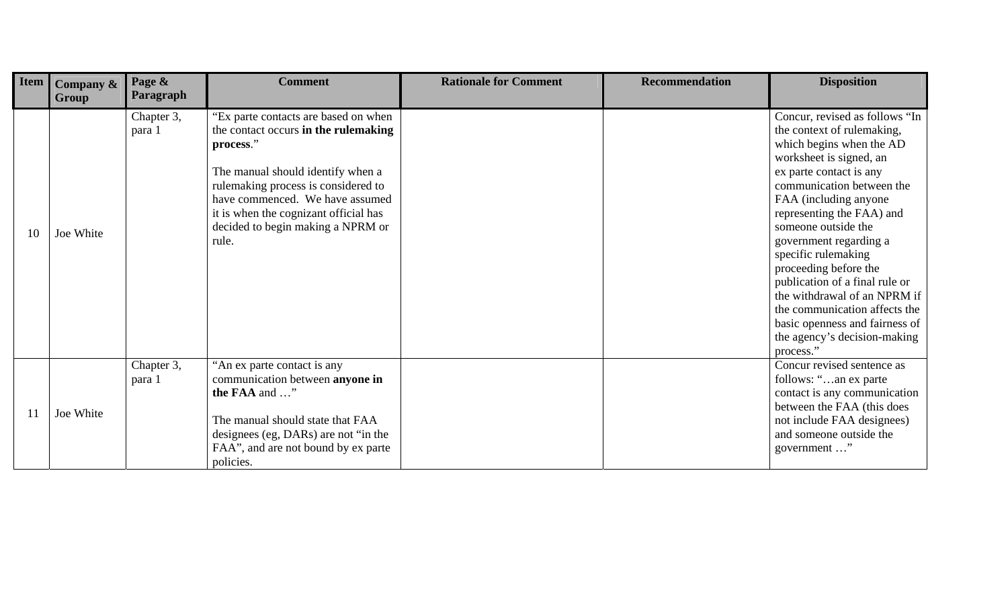| Item | Company $\&$<br>Group | Page &<br><b>Paragraph</b> | <b>Comment</b>                                                                                                                                                                                                                                                                                  | <b>Rationale for Comment</b> | <b>Recommendation</b> | <b>Disposition</b>                                                                                                                                                                                                                                                                                                                                                                                                                                                                                                   |
|------|-----------------------|----------------------------|-------------------------------------------------------------------------------------------------------------------------------------------------------------------------------------------------------------------------------------------------------------------------------------------------|------------------------------|-----------------------|----------------------------------------------------------------------------------------------------------------------------------------------------------------------------------------------------------------------------------------------------------------------------------------------------------------------------------------------------------------------------------------------------------------------------------------------------------------------------------------------------------------------|
| 10   | Joe White             | Chapter 3,<br>para 1       | "Ex parte contacts are based on when<br>the contact occurs in the rulemaking<br>process."<br>The manual should identify when a<br>rulemaking process is considered to<br>have commenced. We have assumed<br>it is when the cognizant official has<br>decided to begin making a NPRM or<br>rule. |                              |                       | Concur, revised as follows "In<br>the context of rulemaking,<br>which begins when the AD<br>worksheet is signed, an<br>ex parte contact is any<br>communication between the<br>FAA (including anyone<br>representing the FAA) and<br>someone outside the<br>government regarding a<br>specific rulemaking<br>proceeding before the<br>publication of a final rule or<br>the withdrawal of an NPRM if<br>the communication affects the<br>basic openness and fairness of<br>the agency's decision-making<br>process." |
| 11   | Joe White             | Chapter 3,<br>para 1       | "An ex parte contact is any<br>communication between anyone in<br>the FAA and "<br>The manual should state that FAA<br>designees (eg, DARs) are not "in the<br>FAA", and are not bound by ex parte<br>policies.                                                                                 |                              |                       | Concur revised sentence as<br>follows: "an ex parte<br>contact is any communication<br>between the FAA (this does<br>not include FAA designees)<br>and someone outside the<br>government "                                                                                                                                                                                                                                                                                                                           |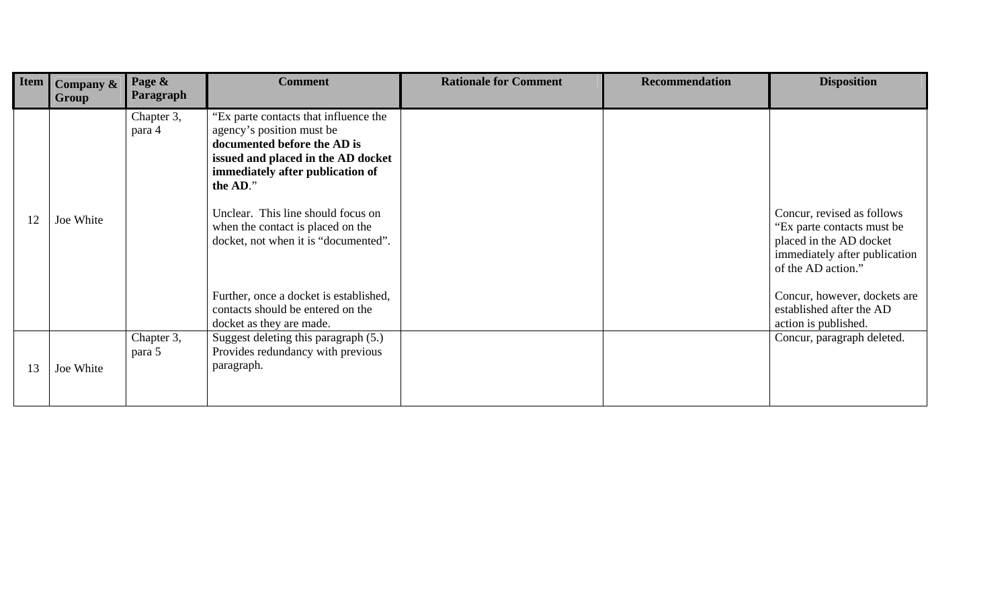| Item | Company & | Page &               | <b>Comment</b>                                                                                                                                                                          | <b>Rationale for Comment</b> | <b>Recommendation</b> | <b>Disposition</b>                                                                                                                         |
|------|-----------|----------------------|-----------------------------------------------------------------------------------------------------------------------------------------------------------------------------------------|------------------------------|-----------------------|--------------------------------------------------------------------------------------------------------------------------------------------|
|      | Group     | Paragraph            |                                                                                                                                                                                         |                              |                       |                                                                                                                                            |
|      |           | Chapter 3,<br>para 4 | "Ex parte contacts that influence the<br>agency's position must be<br>documented before the AD is<br>issued and placed in the AD docket<br>immediately after publication of<br>the AD." |                              |                       |                                                                                                                                            |
| 12   | Joe White |                      | Unclear. This line should focus on<br>when the contact is placed on the<br>docket, not when it is "documented".                                                                         |                              |                       | Concur, revised as follows<br>"Ex parte contacts must be<br>placed in the AD docket<br>immediately after publication<br>of the AD action." |
|      |           |                      | Further, once a docket is established,<br>contacts should be entered on the<br>docket as they are made.                                                                                 |                              |                       | Concur, however, dockets are<br>established after the AD<br>action is published.                                                           |
|      |           | Chapter 3,<br>para 5 | Suggest deleting this paragraph (5.)<br>Provides redundancy with previous                                                                                                               |                              |                       | Concur, paragraph deleted.                                                                                                                 |
| 13   | Joe White |                      | paragraph.                                                                                                                                                                              |                              |                       |                                                                                                                                            |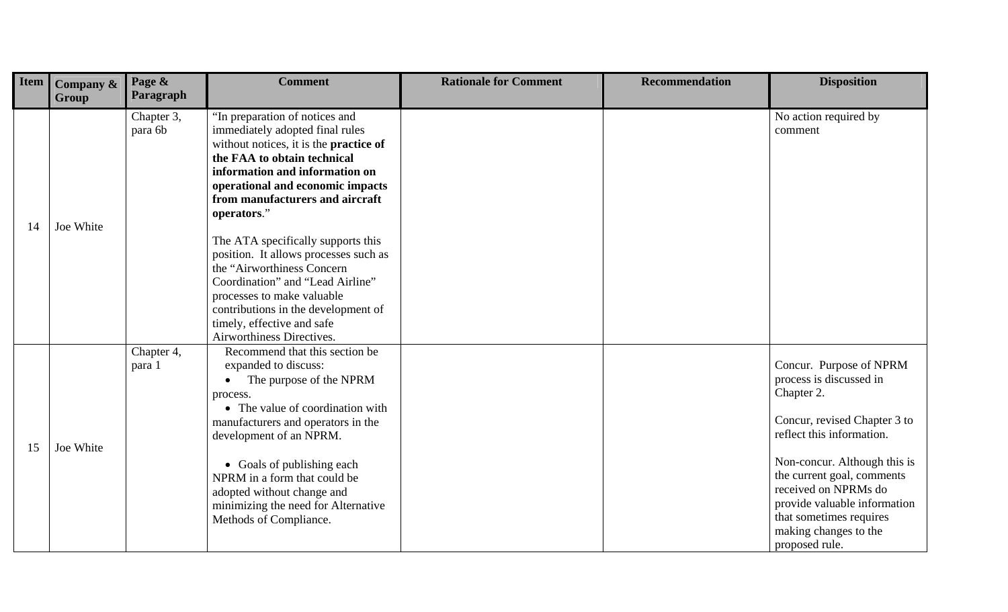| Item | Company &<br>Group | Page &<br>Paragraph   | <b>Comment</b>                                                                                                                                                                                                                                                                                                                                                               | <b>Rationale for Comment</b> | <b>Recommendation</b> | <b>Disposition</b>                                                                                                                                                                                                                                                                                                        |
|------|--------------------|-----------------------|------------------------------------------------------------------------------------------------------------------------------------------------------------------------------------------------------------------------------------------------------------------------------------------------------------------------------------------------------------------------------|------------------------------|-----------------------|---------------------------------------------------------------------------------------------------------------------------------------------------------------------------------------------------------------------------------------------------------------------------------------------------------------------------|
| 14   | Joe White          | Chapter 3,<br>para 6b | "In preparation of notices and<br>immediately adopted final rules<br>without notices, it is the <b>practice of</b><br>the FAA to obtain technical<br>information and information on<br>operational and economic impacts<br>from manufacturers and aircraft<br>operators."                                                                                                    |                              |                       | No action required by<br>comment                                                                                                                                                                                                                                                                                          |
|      |                    |                       | The ATA specifically supports this<br>position. It allows processes such as<br>the "Airworthiness Concern<br>Coordination" and "Lead Airline"<br>processes to make valuable<br>contributions in the development of<br>timely, effective and safe<br>Airworthiness Directives.                                                                                                |                              |                       |                                                                                                                                                                                                                                                                                                                           |
| 15   | Joe White          | Chapter 4,<br>para 1  | Recommend that this section be<br>expanded to discuss:<br>The purpose of the NPRM<br>$\bullet$<br>process.<br>• The value of coordination with<br>manufacturers and operators in the<br>development of an NPRM.<br>• Goals of publishing each<br>NPRM in a form that could be<br>adopted without change and<br>minimizing the need for Alternative<br>Methods of Compliance. |                              |                       | Concur. Purpose of NPRM<br>process is discussed in<br>Chapter 2.<br>Concur, revised Chapter 3 to<br>reflect this information.<br>Non-concur. Although this is<br>the current goal, comments<br>received on NPRMs do<br>provide valuable information<br>that sometimes requires<br>making changes to the<br>proposed rule. |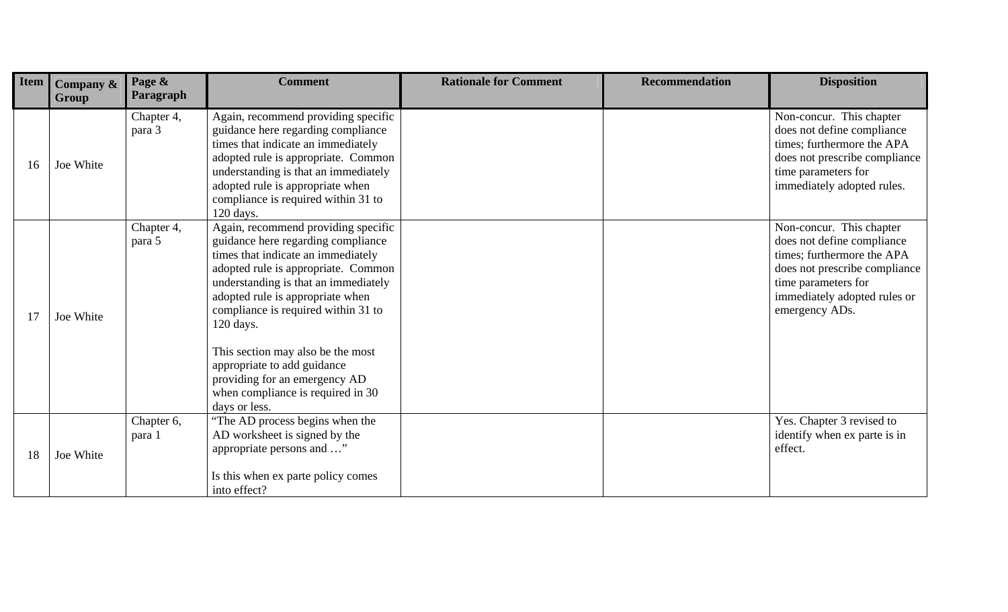| Item | Company &<br><b>Group</b> | Page &<br>Paragraph  | <b>Comment</b>                                                                                                                                                                                                                                                                                                                                                                                                                                    | <b>Rationale for Comment</b> | <b>Recommendation</b> | <b>Disposition</b>                                                                                                                                                                             |
|------|---------------------------|----------------------|---------------------------------------------------------------------------------------------------------------------------------------------------------------------------------------------------------------------------------------------------------------------------------------------------------------------------------------------------------------------------------------------------------------------------------------------------|------------------------------|-----------------------|------------------------------------------------------------------------------------------------------------------------------------------------------------------------------------------------|
| 16   | Joe White                 | Chapter 4,<br>para 3 | Again, recommend providing specific<br>guidance here regarding compliance<br>times that indicate an immediately<br>adopted rule is appropriate. Common<br>understanding is that an immediately<br>adopted rule is appropriate when<br>compliance is required within 31 to<br>120 days.                                                                                                                                                            |                              |                       | Non-concur. This chapter<br>does not define compliance<br>times; furthermore the APA<br>does not prescribe compliance<br>time parameters for<br>immediately adopted rules.                     |
| 17   | Joe White                 | Chapter 4,<br>para 5 | Again, recommend providing specific<br>guidance here regarding compliance<br>times that indicate an immediately<br>adopted rule is appropriate. Common<br>understanding is that an immediately<br>adopted rule is appropriate when<br>compliance is required within 31 to<br>120 days.<br>This section may also be the most<br>appropriate to add guidance<br>providing for an emergency AD<br>when compliance is required in 30<br>days or less. |                              |                       | Non-concur. This chapter<br>does not define compliance<br>times; furthermore the APA<br>does not prescribe compliance<br>time parameters for<br>immediately adopted rules or<br>emergency ADs. |
| 18   | Joe White                 | Chapter 6,<br>para 1 | "The AD process begins when the<br>AD worksheet is signed by the<br>appropriate persons and "<br>Is this when ex parte policy comes<br>into effect?                                                                                                                                                                                                                                                                                               |                              |                       | Yes. Chapter 3 revised to<br>identify when ex parte is in<br>effect.                                                                                                                           |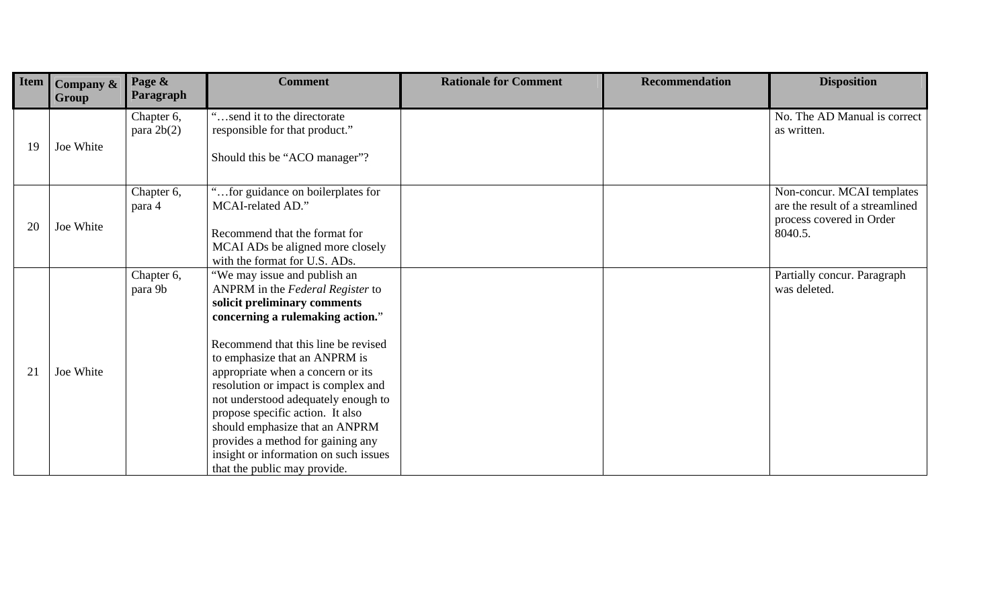| <b>Item</b> | <b>Company &amp;</b> | Page &<br>Paragraph | <b>Comment</b>                                                          | <b>Rationale for Comment</b> | <b>Recommendation</b> | <b>Disposition</b>                          |
|-------------|----------------------|---------------------|-------------------------------------------------------------------------|------------------------------|-----------------------|---------------------------------------------|
|             | Group                |                     |                                                                         |                              |                       |                                             |
|             |                      | Chapter 6,          | send it to the directorate                                              |                              |                       | No. The AD Manual is correct<br>as written. |
|             |                      | para $2b(2)$        | responsible for that product."                                          |                              |                       |                                             |
| 19          | Joe White            |                     | Should this be "ACO manager"?                                           |                              |                       |                                             |
|             |                      |                     |                                                                         |                              |                       |                                             |
|             |                      | Chapter 6,          | for guidance on boilerplates for                                        |                              |                       | Non-concur. MCAI templates                  |
|             |                      | para 4              | MCAI-related AD."                                                       |                              |                       | are the result of a streamlined             |
| 20          | Joe White            |                     | Recommend that the format for                                           |                              |                       | process covered in Order<br>8040.5.         |
|             |                      |                     | MCAI ADs be aligned more closely                                        |                              |                       |                                             |
|             |                      |                     | with the format for U.S. ADs.                                           |                              |                       |                                             |
|             |                      | Chapter 6,          | "We may issue and publish an                                            |                              |                       | Partially concur. Paragraph                 |
|             |                      | para 9b             | ANPRM in the Federal Register to                                        |                              |                       | was deleted.                                |
|             |                      |                     | solicit preliminary comments                                            |                              |                       |                                             |
|             |                      |                     | concerning a rulemaking action."                                        |                              |                       |                                             |
|             |                      |                     | Recommend that this line be revised                                     |                              |                       |                                             |
|             |                      |                     | to emphasize that an ANPRM is                                           |                              |                       |                                             |
| 21          | Joe White            |                     | appropriate when a concern or its                                       |                              |                       |                                             |
|             |                      |                     | resolution or impact is complex and                                     |                              |                       |                                             |
|             |                      |                     | not understood adequately enough to<br>propose specific action. It also |                              |                       |                                             |
|             |                      |                     | should emphasize that an ANPRM                                          |                              |                       |                                             |
|             |                      |                     | provides a method for gaining any                                       |                              |                       |                                             |
|             |                      |                     | insight or information on such issues                                   |                              |                       |                                             |
|             |                      |                     | that the public may provide.                                            |                              |                       |                                             |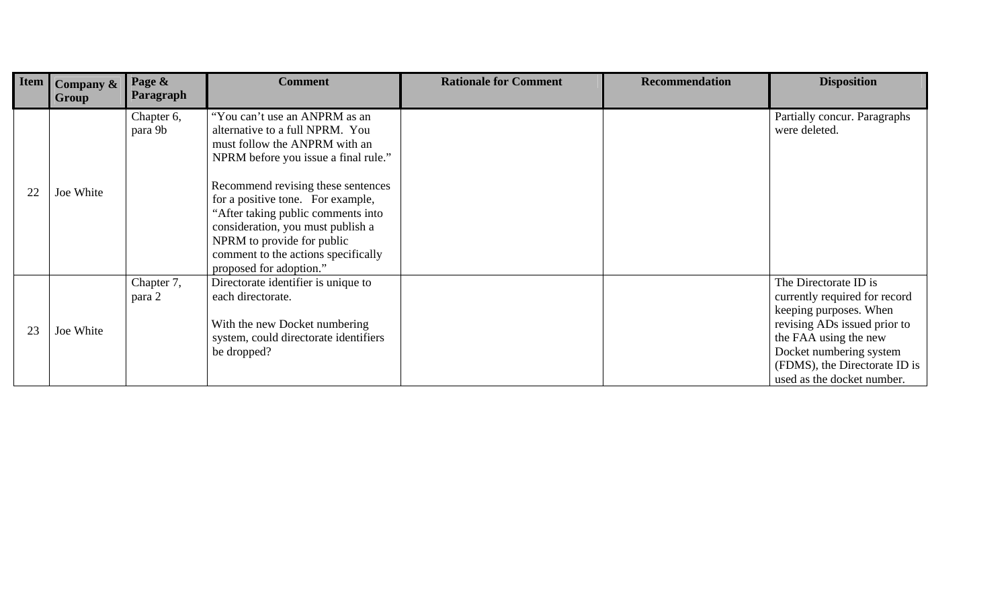| Item | Company &<br>Group | Page &<br>Paragraph   | <b>Comment</b>                                                                                                                                                                                                                                                                                                                                                                                  | <b>Rationale for Comment</b> | <b>Recommendation</b> | <b>Disposition</b>                                                                                                                                                                                                                  |
|------|--------------------|-----------------------|-------------------------------------------------------------------------------------------------------------------------------------------------------------------------------------------------------------------------------------------------------------------------------------------------------------------------------------------------------------------------------------------------|------------------------------|-----------------------|-------------------------------------------------------------------------------------------------------------------------------------------------------------------------------------------------------------------------------------|
| 22   | Joe White          | Chapter 6,<br>para 9b | "You can't use an ANPRM as an<br>alternative to a full NPRM. You<br>must follow the ANPRM with an<br>NPRM before you issue a final rule."<br>Recommend revising these sentences<br>for a positive tone. For example,<br>"After taking public comments into<br>consideration, you must publish a<br>NPRM to provide for public<br>comment to the actions specifically<br>proposed for adoption." |                              |                       | Partially concur. Paragraphs<br>were deleted.                                                                                                                                                                                       |
| 23   | Joe White          | Chapter 7,<br>para 2  | Directorate identifier is unique to<br>each directorate.<br>With the new Docket numbering<br>system, could directorate identifiers<br>be dropped?                                                                                                                                                                                                                                               |                              |                       | The Directorate ID is<br>currently required for record<br>keeping purposes. When<br>revising ADs issued prior to<br>the FAA using the new<br>Docket numbering system<br>(FDMS), the Directorate ID is<br>used as the docket number. |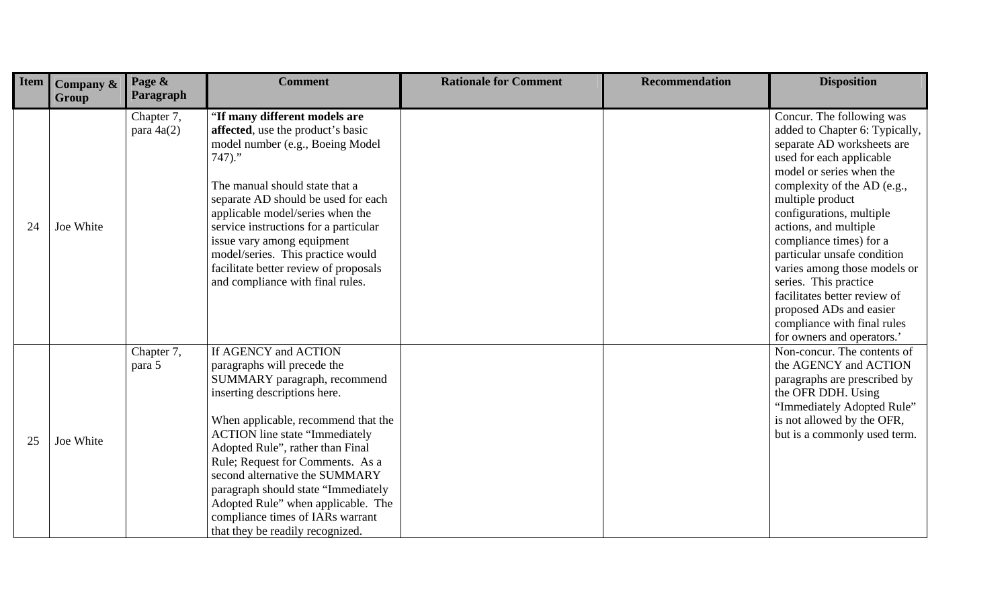| Item | Company $\&$<br>Group | Page &<br>Paragraph        | <b>Comment</b>                                                                                                                                                                                                                                                                                                                                                                                                                                                     | <b>Rationale for Comment</b> | <b>Recommendation</b> | <b>Disposition</b>                                                                                                                                                                                                                                                                                                                                                                                                                                                                                   |
|------|-----------------------|----------------------------|--------------------------------------------------------------------------------------------------------------------------------------------------------------------------------------------------------------------------------------------------------------------------------------------------------------------------------------------------------------------------------------------------------------------------------------------------------------------|------------------------------|-----------------------|------------------------------------------------------------------------------------------------------------------------------------------------------------------------------------------------------------------------------------------------------------------------------------------------------------------------------------------------------------------------------------------------------------------------------------------------------------------------------------------------------|
| 24   | Joe White             | Chapter 7,<br>para $4a(2)$ | "If many different models are<br>affected, use the product's basic<br>model number (e.g., Boeing Model)<br>$747$ ."<br>The manual should state that a<br>separate AD should be used for each<br>applicable model/series when the<br>service instructions for a particular<br>issue vary among equipment<br>model/series. This practice would<br>facilitate better review of proposals<br>and compliance with final rules.                                          |                              |                       | Concur. The following was<br>added to Chapter 6: Typically,<br>separate AD worksheets are<br>used for each applicable<br>model or series when the<br>complexity of the AD (e.g.,<br>multiple product<br>configurations, multiple<br>actions, and multiple<br>compliance times) for a<br>particular unsafe condition<br>varies among those models or<br>series. This practice<br>facilitates better review of<br>proposed ADs and easier<br>compliance with final rules<br>for owners and operators.' |
| 25   | Joe White             | Chapter 7,<br>para 5       | If AGENCY and ACTION<br>paragraphs will precede the<br>SUMMARY paragraph, recommend<br>inserting descriptions here.<br>When applicable, recommend that the<br><b>ACTION</b> line state "Immediately<br>Adopted Rule", rather than Final<br>Rule; Request for Comments. As a<br>second alternative the SUMMARY<br>paragraph should state "Immediately<br>Adopted Rule" when applicable. The<br>compliance times of IARs warrant<br>that they be readily recognized. |                              |                       | Non-concur. The contents of<br>the AGENCY and ACTION<br>paragraphs are prescribed by<br>the OFR DDH. Using<br>"Immediately Adopted Rule"<br>is not allowed by the OFR,<br>but is a commonly used term.                                                                                                                                                                                                                                                                                               |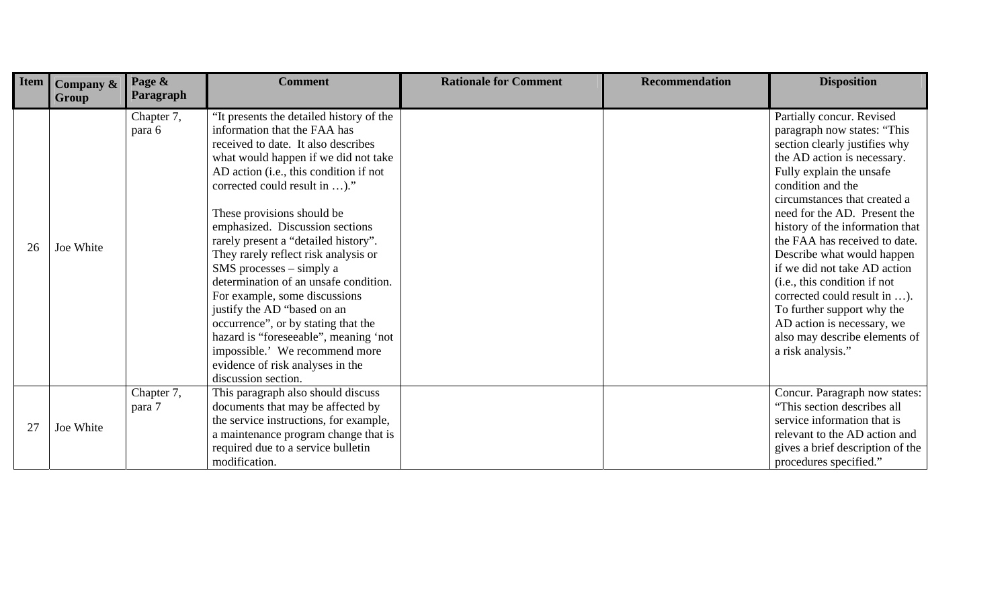| Item | Company &<br>Group | Page &<br>Paragraph  | <b>Comment</b>                                                                                                                                                                                                                                                                                                                                                                                                                                                                                                                                                                                                                                                                                          | <b>Rationale for Comment</b> | <b>Recommendation</b> | <b>Disposition</b>                                                                                                                                                                                                                                                                                                                                                                                                                                                                                                                                            |
|------|--------------------|----------------------|---------------------------------------------------------------------------------------------------------------------------------------------------------------------------------------------------------------------------------------------------------------------------------------------------------------------------------------------------------------------------------------------------------------------------------------------------------------------------------------------------------------------------------------------------------------------------------------------------------------------------------------------------------------------------------------------------------|------------------------------|-----------------------|---------------------------------------------------------------------------------------------------------------------------------------------------------------------------------------------------------------------------------------------------------------------------------------------------------------------------------------------------------------------------------------------------------------------------------------------------------------------------------------------------------------------------------------------------------------|
| 26   | Joe White          | Chapter 7,<br>para 6 | "It presents the detailed history of the<br>information that the FAA has<br>received to date. It also describes<br>what would happen if we did not take<br>AD action (i.e., this condition if not<br>corrected could result in )."<br>These provisions should be<br>emphasized. Discussion sections<br>rarely present a "detailed history".<br>They rarely reflect risk analysis or<br>$SMS$ processes – simply a<br>determination of an unsafe condition.<br>For example, some discussions<br>justify the AD "based on an<br>occurrence", or by stating that the<br>hazard is "foreseeable", meaning 'not<br>impossible.' We recommend more<br>evidence of risk analyses in the<br>discussion section. |                              |                       | Partially concur. Revised<br>paragraph now states: "This<br>section clearly justifies why<br>the AD action is necessary.<br>Fully explain the unsafe<br>condition and the<br>circumstances that created a<br>need for the AD. Present the<br>history of the information that<br>the FAA has received to date.<br>Describe what would happen<br>if we did not take AD action<br>(i.e., this condition if not<br>corrected could result in ).<br>To further support why the<br>AD action is necessary, we<br>also may describe elements of<br>a risk analysis." |
| 27   | Joe White          | Chapter 7,<br>para 7 | This paragraph also should discuss<br>documents that may be affected by<br>the service instructions, for example,<br>a maintenance program change that is<br>required due to a service bulletin<br>modification.                                                                                                                                                                                                                                                                                                                                                                                                                                                                                        |                              |                       | Concur. Paragraph now states:<br>"This section describes all<br>service information that is<br>relevant to the AD action and<br>gives a brief description of the<br>procedures specified."                                                                                                                                                                                                                                                                                                                                                                    |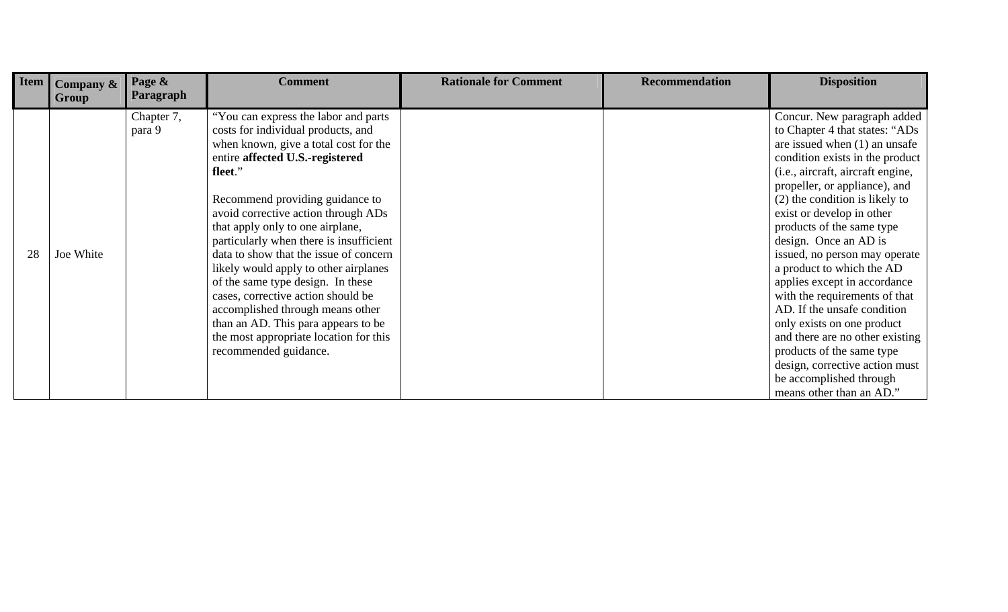| Item | Company $\&$ | Page &<br>Paragraph | <b>Comment</b>                          | <b>Rationale for Comment</b> | <b>Recommendation</b> | <b>Disposition</b>                |
|------|--------------|---------------------|-----------------------------------------|------------------------------|-----------------------|-----------------------------------|
|      | Group        | Chapter 7,          | "You can express the labor and parts"   |                              |                       | Concur. New paragraph added       |
|      |              | para 9              | costs for individual products, and      |                              |                       | to Chapter 4 that states: "ADs    |
|      |              |                     | when known, give a total cost for the   |                              |                       | are issued when $(1)$ an unsafe   |
|      |              |                     | entire affected U.S.-registered         |                              |                       | condition exists in the product   |
|      |              |                     | fleet."                                 |                              |                       | (i.e., aircraft, aircraft engine, |
|      |              |                     |                                         |                              |                       | propeller, or appliance), and     |
|      |              |                     | Recommend providing guidance to         |                              |                       | (2) the condition is likely to    |
|      |              |                     | avoid corrective action through ADs     |                              |                       | exist or develop in other         |
|      |              |                     | that apply only to one airplane,        |                              |                       | products of the same type         |
|      |              |                     | particularly when there is insufficient |                              |                       | design. Once an AD is             |
| 28   | Joe White    |                     | data to show that the issue of concern  |                              |                       | issued, no person may operate     |
|      |              |                     | likely would apply to other airplanes   |                              |                       | a product to which the AD         |
|      |              |                     | of the same type design. In these       |                              |                       | applies except in accordance      |
|      |              |                     | cases, corrective action should be      |                              |                       | with the requirements of that     |
|      |              |                     | accomplished through means other        |                              |                       | AD. If the unsafe condition       |
|      |              |                     | than an AD. This para appears to be     |                              |                       | only exists on one product        |
|      |              |                     | the most appropriate location for this  |                              |                       | and there are no other existing   |
|      |              |                     | recommended guidance.                   |                              |                       | products of the same type         |
|      |              |                     |                                         |                              |                       | design, corrective action must    |
|      |              |                     |                                         |                              |                       | be accomplished through           |
|      |              |                     |                                         |                              |                       | means other than an AD."          |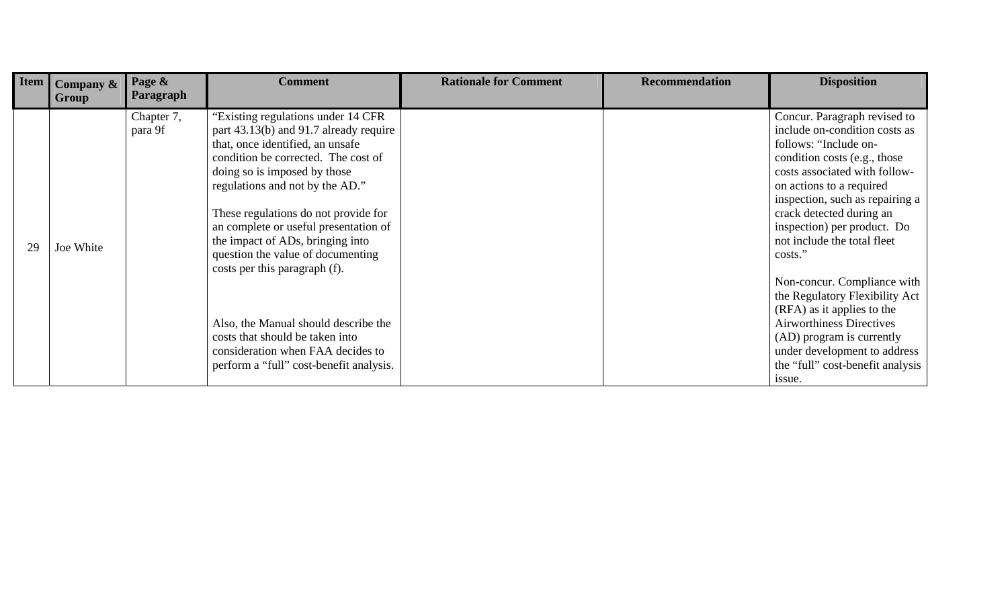| <b>Item</b> | Company & | Page &<br>Paragraph | <b>Comment</b>                          | <b>Rationale for Comment</b> | <b>Recommendation</b> | <b>Disposition</b>                                            |
|-------------|-----------|---------------------|-----------------------------------------|------------------------------|-----------------------|---------------------------------------------------------------|
|             | Group     |                     |                                         |                              |                       |                                                               |
|             |           | Chapter 7,          | "Existing regulations under 14 CFR      |                              |                       | Concur. Paragraph revised to<br>include on-condition costs as |
|             |           | para 9f             | part 43.13(b) and 91.7 already require  |                              |                       |                                                               |
|             |           |                     | that, once identified, an unsafe        |                              |                       | follows: "Include on-                                         |
|             |           |                     | condition be corrected. The cost of     |                              |                       | condition costs (e.g., those                                  |
|             |           |                     | doing so is imposed by those            |                              |                       | costs associated with follow-                                 |
|             |           |                     | regulations and not by the AD."         |                              |                       | on actions to a required                                      |
|             |           |                     |                                         |                              |                       | inspection, such as repairing a                               |
|             |           |                     | These regulations do not provide for    |                              |                       | crack detected during an                                      |
|             |           |                     | an complete or useful presentation of   |                              |                       | inspection) per product. Do                                   |
| 29          | Joe White |                     | the impact of ADs, bringing into        |                              |                       | not include the total fleet                                   |
|             |           |                     | question the value of documenting       |                              |                       | costs."                                                       |
|             |           |                     | costs per this paragraph (f).           |                              |                       |                                                               |
|             |           |                     |                                         |                              |                       | Non-concur. Compliance with                                   |
|             |           |                     |                                         |                              |                       | the Regulatory Flexibility Act                                |
|             |           |                     |                                         |                              |                       | (RFA) as it applies to the                                    |
|             |           |                     | Also, the Manual should describe the    |                              |                       | <b>Airworthiness Directives</b>                               |
|             |           |                     | costs that should be taken into         |                              |                       | (AD) program is currently                                     |
|             |           |                     | consideration when FAA decides to       |                              |                       | under development to address                                  |
|             |           |                     | perform a "full" cost-benefit analysis. |                              |                       | the "full" cost-benefit analysis                              |
|             |           |                     |                                         |                              |                       | issue.                                                        |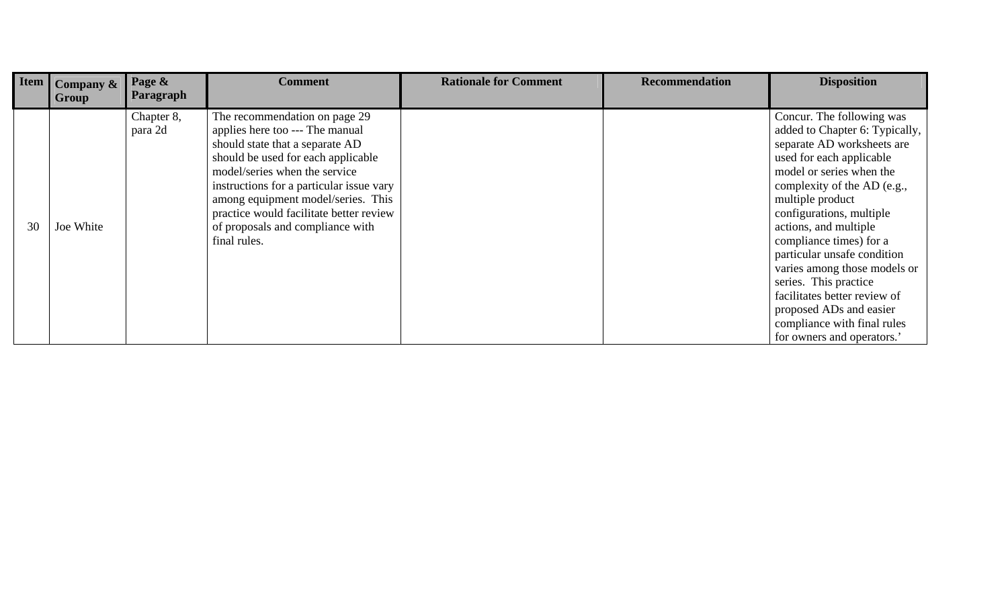| <b>Item</b> | <b>Company &amp;</b><br>Group | Page &<br><b>Paragraph</b> | <b>Comment</b>                                                                                                                                                                                                                                                                                                                                              | <b>Rationale for Comment</b> | <b>Recommendation</b> | <b>Disposition</b>                                                                                                                                                                                                                                                                                                                                                                                                                                                                                   |
|-------------|-------------------------------|----------------------------|-------------------------------------------------------------------------------------------------------------------------------------------------------------------------------------------------------------------------------------------------------------------------------------------------------------------------------------------------------------|------------------------------|-----------------------|------------------------------------------------------------------------------------------------------------------------------------------------------------------------------------------------------------------------------------------------------------------------------------------------------------------------------------------------------------------------------------------------------------------------------------------------------------------------------------------------------|
| 30          | Joe White                     | Chapter 8,<br>para 2d      | The recommendation on page 29<br>applies here too --- The manual<br>should state that a separate AD<br>should be used for each applicable<br>model/series when the service<br>instructions for a particular issue vary<br>among equipment model/series. This<br>practice would facilitate better review<br>of proposals and compliance with<br>final rules. |                              |                       | Concur. The following was<br>added to Chapter 6: Typically,<br>separate AD worksheets are<br>used for each applicable<br>model or series when the<br>complexity of the AD (e.g.,<br>multiple product<br>configurations, multiple<br>actions, and multiple<br>compliance times) for a<br>particular unsafe condition<br>varies among those models or<br>series. This practice<br>facilitates better review of<br>proposed ADs and easier<br>compliance with final rules<br>for owners and operators.' |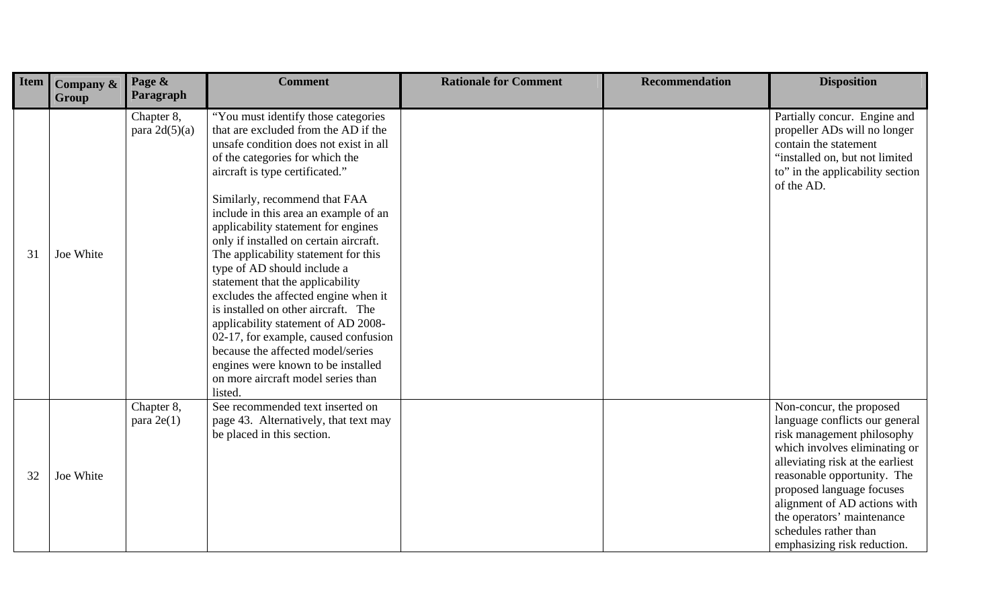| Item | Company &<br>Group | Page &<br>Paragraph           | <b>Comment</b>                                                                                                                                                                                                                                                                                                                                                                                                                                                                                                                                                                                                                                                                                                                                              | <b>Rationale for Comment</b> | <b>Recommendation</b> | <b>Disposition</b>                                                                                                                                                                                                                                                                                                                              |
|------|--------------------|-------------------------------|-------------------------------------------------------------------------------------------------------------------------------------------------------------------------------------------------------------------------------------------------------------------------------------------------------------------------------------------------------------------------------------------------------------------------------------------------------------------------------------------------------------------------------------------------------------------------------------------------------------------------------------------------------------------------------------------------------------------------------------------------------------|------------------------------|-----------------------|-------------------------------------------------------------------------------------------------------------------------------------------------------------------------------------------------------------------------------------------------------------------------------------------------------------------------------------------------|
| 31   | Joe White          | Chapter 8,<br>para $2d(5)(a)$ | "You must identify those categories<br>that are excluded from the AD if the<br>unsafe condition does not exist in all<br>of the categories for which the<br>aircraft is type certificated."<br>Similarly, recommend that FAA<br>include in this area an example of an<br>applicability statement for engines<br>only if installed on certain aircraft.<br>The applicability statement for this<br>type of AD should include a<br>statement that the applicability<br>excludes the affected engine when it<br>is installed on other aircraft. The<br>applicability statement of AD 2008-<br>02-17, for example, caused confusion<br>because the affected model/series<br>engines were known to be installed<br>on more aircraft model series than<br>listed. |                              |                       | Partially concur. Engine and<br>propeller ADs will no longer<br>contain the statement<br>"installed on, but not limited<br>to" in the applicability section<br>of the AD.                                                                                                                                                                       |
| 32   | Joe White          | Chapter 8,<br>para $2e(1)$    | See recommended text inserted on<br>page 43. Alternatively, that text may<br>be placed in this section.                                                                                                                                                                                                                                                                                                                                                                                                                                                                                                                                                                                                                                                     |                              |                       | Non-concur, the proposed<br>language conflicts our general<br>risk management philosophy<br>which involves eliminating or<br>alleviating risk at the earliest<br>reasonable opportunity. The<br>proposed language focuses<br>alignment of AD actions with<br>the operators' maintenance<br>schedules rather than<br>emphasizing risk reduction. |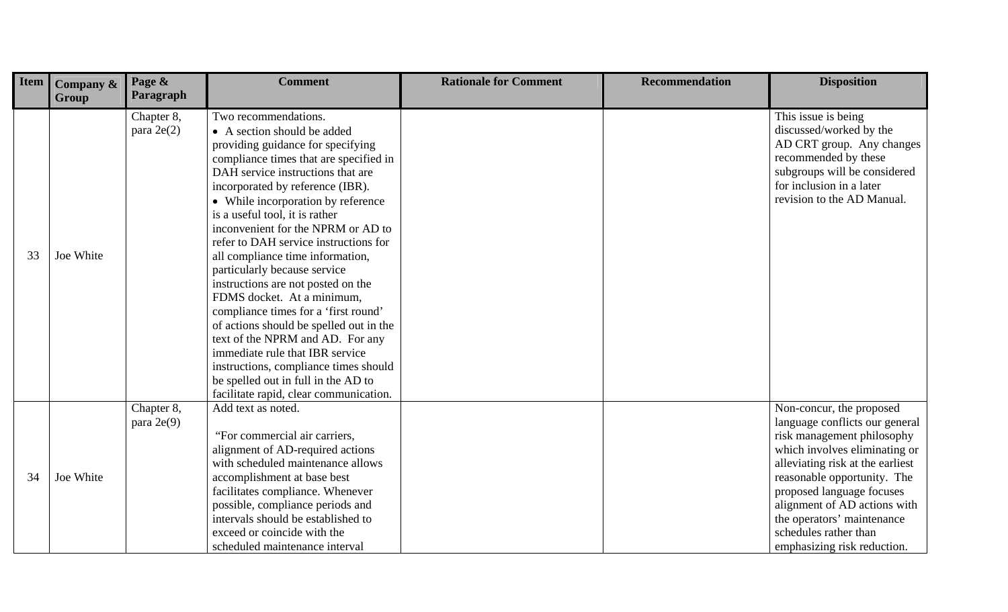| Item | Company &<br>Group | Page &<br>Paragraph        | <b>Comment</b>                                                                                                                                                                                                                                                                                                                                                                                                                                                                                                                                                                                                                                                                                                                                                                                 | <b>Rationale for Comment</b> | <b>Recommendation</b> | <b>Disposition</b>                                                                                                                                                                                                                                                                                                                              |
|------|--------------------|----------------------------|------------------------------------------------------------------------------------------------------------------------------------------------------------------------------------------------------------------------------------------------------------------------------------------------------------------------------------------------------------------------------------------------------------------------------------------------------------------------------------------------------------------------------------------------------------------------------------------------------------------------------------------------------------------------------------------------------------------------------------------------------------------------------------------------|------------------------------|-----------------------|-------------------------------------------------------------------------------------------------------------------------------------------------------------------------------------------------------------------------------------------------------------------------------------------------------------------------------------------------|
| 33   | Joe White          | Chapter 8,<br>para $2e(2)$ | Two recommendations.<br>• A section should be added<br>providing guidance for specifying<br>compliance times that are specified in<br>DAH service instructions that are<br>incorporated by reference (IBR).<br>• While incorporation by reference<br>is a useful tool, it is rather<br>inconvenient for the NPRM or AD to<br>refer to DAH service instructions for<br>all compliance time information,<br>particularly because service<br>instructions are not posted on the<br>FDMS docket. At a minimum,<br>compliance times for a 'first round'<br>of actions should be spelled out in the<br>text of the NPRM and AD. For any<br>immediate rule that IBR service<br>instructions, compliance times should<br>be spelled out in full in the AD to<br>facilitate rapid, clear communication. |                              |                       | This issue is being<br>discussed/worked by the<br>AD CRT group. Any changes<br>recommended by these<br>subgroups will be considered<br>for inclusion in a later<br>revision to the AD Manual.                                                                                                                                                   |
| 34   | Joe White          | Chapter 8,<br>para $2e(9)$ | Add text as noted.<br>"For commercial air carriers,<br>alignment of AD-required actions<br>with scheduled maintenance allows<br>accomplishment at base best<br>facilitates compliance. Whenever<br>possible, compliance periods and<br>intervals should be established to<br>exceed or coincide with the<br>scheduled maintenance interval                                                                                                                                                                                                                                                                                                                                                                                                                                                     |                              |                       | Non-concur, the proposed<br>language conflicts our general<br>risk management philosophy<br>which involves eliminating or<br>alleviating risk at the earliest<br>reasonable opportunity. The<br>proposed language focuses<br>alignment of AD actions with<br>the operators' maintenance<br>schedules rather than<br>emphasizing risk reduction. |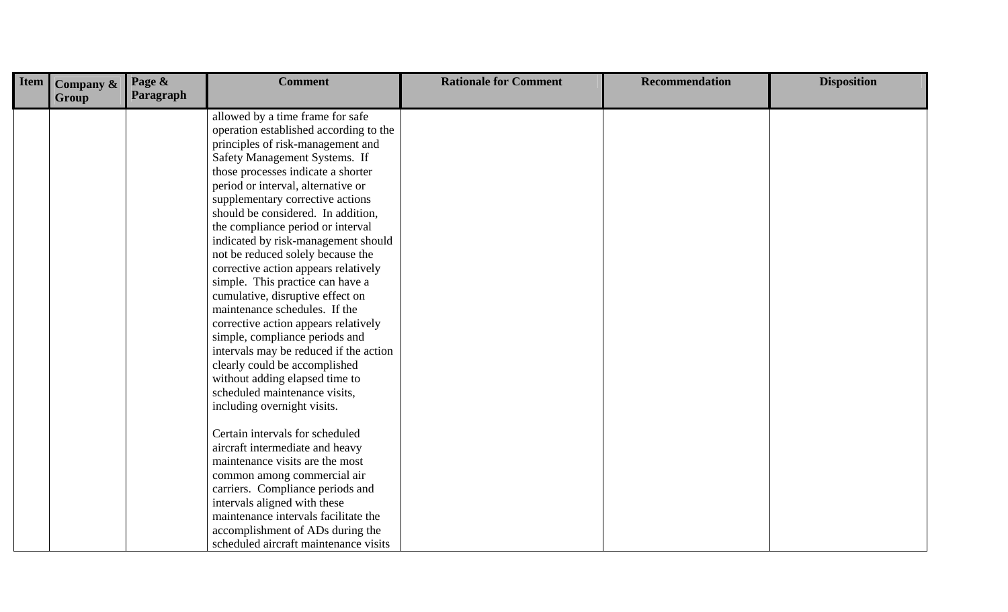| Item | Company $\&$<br>Group | Page &<br>Paragraph | <b>Comment</b>                         | <b>Rationale for Comment</b> | <b>Recommendation</b> | <b>Disposition</b> |
|------|-----------------------|---------------------|----------------------------------------|------------------------------|-----------------------|--------------------|
|      |                       |                     | allowed by a time frame for safe       |                              |                       |                    |
|      |                       |                     | operation established according to the |                              |                       |                    |
|      |                       |                     | principles of risk-management and      |                              |                       |                    |
|      |                       |                     | Safety Management Systems. If          |                              |                       |                    |
|      |                       |                     | those processes indicate a shorter     |                              |                       |                    |
|      |                       |                     | period or interval, alternative or     |                              |                       |                    |
|      |                       |                     | supplementary corrective actions       |                              |                       |                    |
|      |                       |                     | should be considered. In addition,     |                              |                       |                    |
|      |                       |                     | the compliance period or interval      |                              |                       |                    |
|      |                       |                     | indicated by risk-management should    |                              |                       |                    |
|      |                       |                     | not be reduced solely because the      |                              |                       |                    |
|      |                       |                     | corrective action appears relatively   |                              |                       |                    |
|      |                       |                     | simple. This practice can have a       |                              |                       |                    |
|      |                       |                     | cumulative, disruptive effect on       |                              |                       |                    |
|      |                       |                     | maintenance schedules. If the          |                              |                       |                    |
|      |                       |                     | corrective action appears relatively   |                              |                       |                    |
|      |                       |                     | simple, compliance periods and         |                              |                       |                    |
|      |                       |                     | intervals may be reduced if the action |                              |                       |                    |
|      |                       |                     | clearly could be accomplished          |                              |                       |                    |
|      |                       |                     | without adding elapsed time to         |                              |                       |                    |
|      |                       |                     | scheduled maintenance visits,          |                              |                       |                    |
|      |                       |                     | including overnight visits.            |                              |                       |                    |
|      |                       |                     | Certain intervals for scheduled        |                              |                       |                    |
|      |                       |                     | aircraft intermediate and heavy        |                              |                       |                    |
|      |                       |                     | maintenance visits are the most        |                              |                       |                    |
|      |                       |                     | common among commercial air            |                              |                       |                    |
|      |                       |                     | carriers. Compliance periods and       |                              |                       |                    |
|      |                       |                     | intervals aligned with these           |                              |                       |                    |
|      |                       |                     | maintenance intervals facilitate the   |                              |                       |                    |
|      |                       |                     | accomplishment of ADs during the       |                              |                       |                    |
|      |                       |                     | scheduled aircraft maintenance visits  |                              |                       |                    |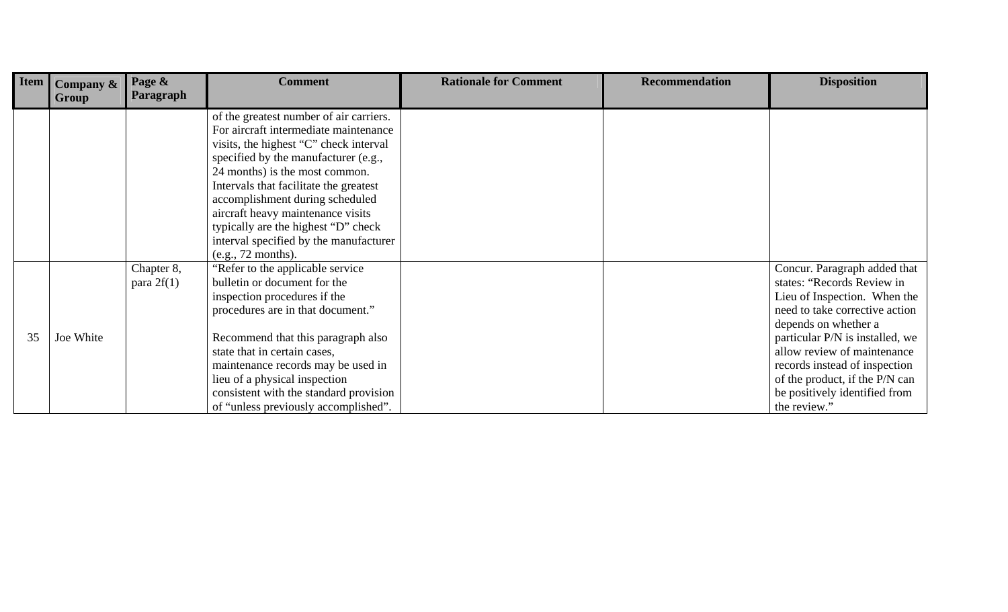| Item | Company & | Page &<br>Paragraph | <b>Comment</b>                          | <b>Rationale for Comment</b> | <b>Recommendation</b> | <b>Disposition</b>              |
|------|-----------|---------------------|-----------------------------------------|------------------------------|-----------------------|---------------------------------|
|      | Group     |                     |                                         |                              |                       |                                 |
|      |           |                     | of the greatest number of air carriers. |                              |                       |                                 |
|      |           |                     | For aircraft intermediate maintenance   |                              |                       |                                 |
|      |           |                     | visits, the highest "C" check interval  |                              |                       |                                 |
|      |           |                     | specified by the manufacturer (e.g.,    |                              |                       |                                 |
|      |           |                     | 24 months) is the most common.          |                              |                       |                                 |
|      |           |                     | Intervals that facilitate the greatest  |                              |                       |                                 |
|      |           |                     | accomplishment during scheduled         |                              |                       |                                 |
|      |           |                     | aircraft heavy maintenance visits       |                              |                       |                                 |
|      |           |                     | typically are the highest "D" check     |                              |                       |                                 |
|      |           |                     | interval specified by the manufacturer  |                              |                       |                                 |
|      |           |                     | (e.g., 72 months).                      |                              |                       |                                 |
|      |           | Chapter 8,          | "Refer to the applicable service"       |                              |                       | Concur. Paragraph added that    |
|      |           | para $2f(1)$        | bulletin or document for the            |                              |                       | states: "Records Review in      |
|      |           |                     | inspection procedures if the            |                              |                       | Lieu of Inspection. When the    |
|      |           |                     | procedures are in that document."       |                              |                       | need to take corrective action  |
|      |           |                     |                                         |                              |                       | depends on whether a            |
| 35   | Joe White |                     | Recommend that this paragraph also      |                              |                       | particular P/N is installed, we |
|      |           |                     | state that in certain cases,            |                              |                       | allow review of maintenance     |
|      |           |                     | maintenance records may be used in      |                              |                       | records instead of inspection   |
|      |           |                     | lieu of a physical inspection           |                              |                       | of the product, if the P/N can  |
|      |           |                     | consistent with the standard provision  |                              |                       | be positively identified from   |
|      |           |                     | of "unless previously accomplished".    |                              |                       | the review."                    |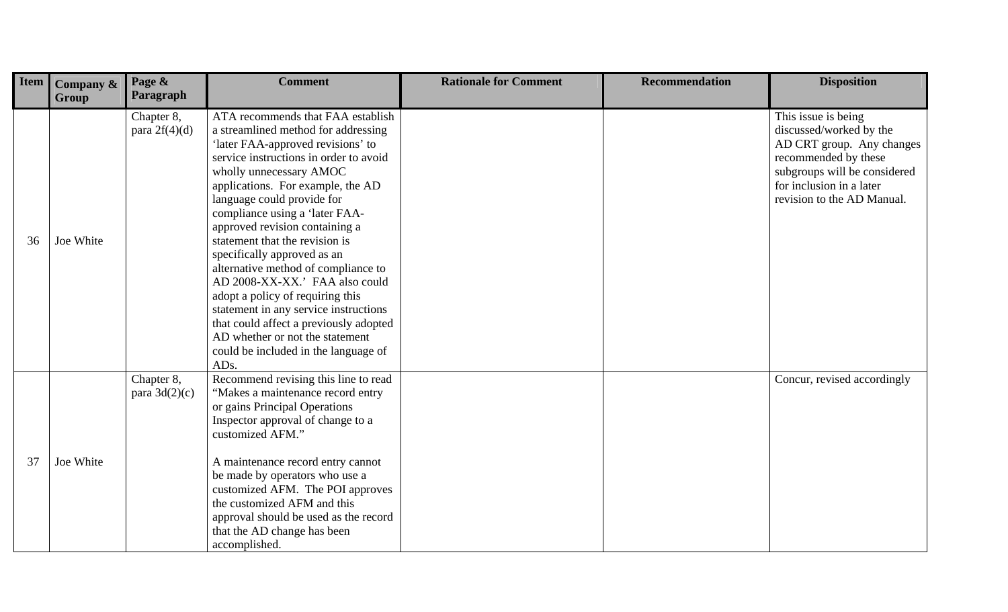| <b>Item</b> | Company &<br>Group | Page &<br>Paragraph           | <b>Comment</b>                                                                                                                                                                                                                                                                                                                                                                                                                                                                                                                                                                                                                                                                | <b>Rationale for Comment</b> | <b>Recommendation</b> | <b>Disposition</b>                                                                                                                                                                            |
|-------------|--------------------|-------------------------------|-------------------------------------------------------------------------------------------------------------------------------------------------------------------------------------------------------------------------------------------------------------------------------------------------------------------------------------------------------------------------------------------------------------------------------------------------------------------------------------------------------------------------------------------------------------------------------------------------------------------------------------------------------------------------------|------------------------------|-----------------------|-----------------------------------------------------------------------------------------------------------------------------------------------------------------------------------------------|
| 36          | Joe White          | Chapter 8,<br>para $2f(4)(d)$ | ATA recommends that FAA establish<br>a streamlined method for addressing<br>'later FAA-approved revisions' to<br>service instructions in order to avoid<br>wholly unnecessary AMOC<br>applications. For example, the AD<br>language could provide for<br>compliance using a 'later FAA-<br>approved revision containing a<br>statement that the revision is<br>specifically approved as an<br>alternative method of compliance to<br>AD 2008-XX-XX.' FAA also could<br>adopt a policy of requiring this<br>statement in any service instructions<br>that could affect a previously adopted<br>AD whether or not the statement<br>could be included in the language of<br>ADs. |                              |                       | This issue is being<br>discussed/worked by the<br>AD CRT group. Any changes<br>recommended by these<br>subgroups will be considered<br>for inclusion in a later<br>revision to the AD Manual. |
| 37          | Joe White          | Chapter 8,<br>para $3d(2)(c)$ | Recommend revising this line to read<br>"Makes a maintenance record entry<br>or gains Principal Operations<br>Inspector approval of change to a<br>customized AFM."<br>A maintenance record entry cannot<br>be made by operators who use a<br>customized AFM. The POI approves<br>the customized AFM and this<br>approval should be used as the record<br>that the AD change has been<br>accomplished.                                                                                                                                                                                                                                                                        |                              |                       | Concur, revised accordingly                                                                                                                                                                   |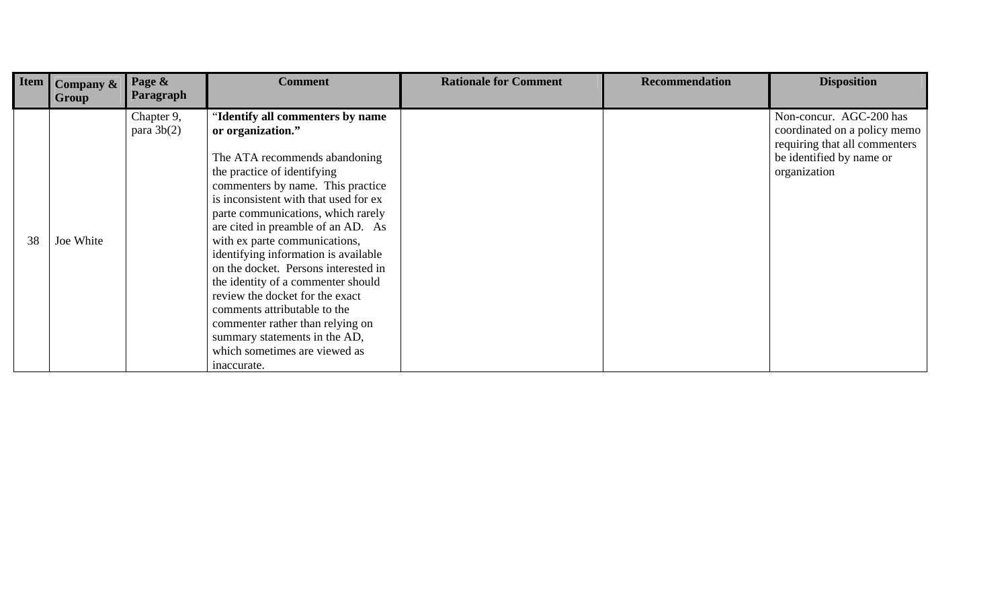|                   | <b>Company &amp;</b> | Page &                                  | <b>Comment</b>                                                                                                                                                                                                                                                                                                   | <b>Rationale for Comment</b> | <b>Recommendation</b> | <b>Disposition</b>                                                                                                                   |
|-------------------|----------------------|-----------------------------------------|------------------------------------------------------------------------------------------------------------------------------------------------------------------------------------------------------------------------------------------------------------------------------------------------------------------|------------------------------|-----------------------|--------------------------------------------------------------------------------------------------------------------------------------|
| <b>Item</b><br>38 | Group<br>Joe White   | Paragraph<br>Chapter 9,<br>para $3b(2)$ | 'Identify all commenters by name<br>or organization."<br>The ATA recommends abandoning<br>the practice of identifying<br>commenters by name. This practice<br>is inconsistent with that used for ex<br>parte communications, which rarely<br>are cited in preamble of an AD. As<br>with ex parte communications, |                              |                       | Non-concur. AGC-200 has<br>coordinated on a policy memo<br>requiring that all commenters<br>be identified by name or<br>organization |
|                   |                      |                                         | identifying information is available<br>on the docket. Persons interested in<br>the identity of a commenter should<br>review the docket for the exact<br>comments attributable to the<br>commenter rather than relying on<br>summary statements in the AD,<br>which sometimes are viewed as<br>inaccurate.       |                              |                       |                                                                                                                                      |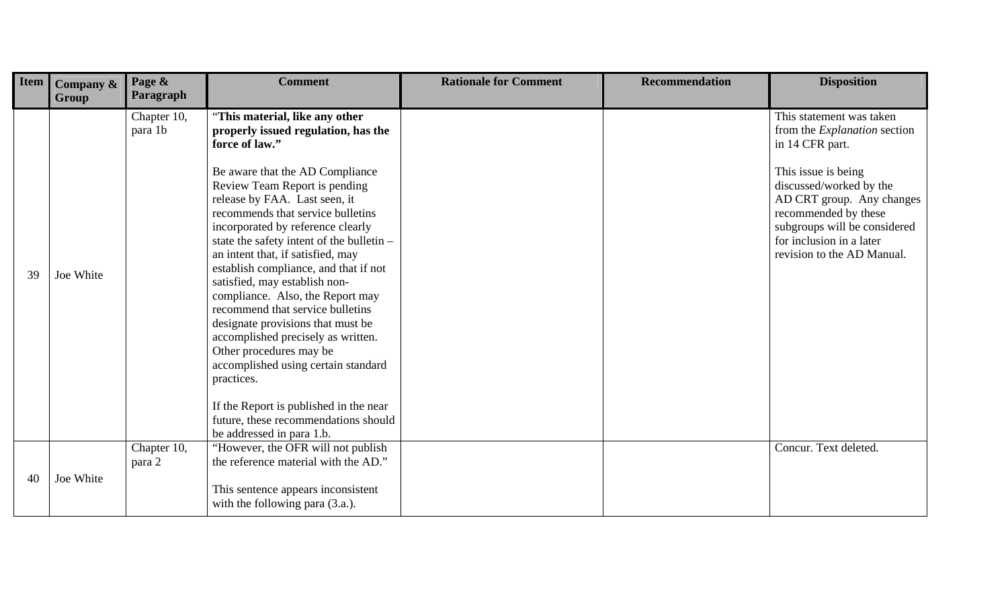| Item | Company &<br>Group | Page &<br>Paragraph    | <b>Comment</b>                                                                                                                                                                                                                                                                                                                                                                                                                                                                                                                                                                                                                                                                                                                                          | <b>Rationale for Comment</b> | <b>Recommendation</b> | <b>Disposition</b>                                                                                                                                                                                                                                                                  |
|------|--------------------|------------------------|---------------------------------------------------------------------------------------------------------------------------------------------------------------------------------------------------------------------------------------------------------------------------------------------------------------------------------------------------------------------------------------------------------------------------------------------------------------------------------------------------------------------------------------------------------------------------------------------------------------------------------------------------------------------------------------------------------------------------------------------------------|------------------------------|-----------------------|-------------------------------------------------------------------------------------------------------------------------------------------------------------------------------------------------------------------------------------------------------------------------------------|
| 39   | Joe White          | Chapter 10,<br>para 1b | "This material, like any other<br>properly issued regulation, has the<br>force of law."<br>Be aware that the AD Compliance<br>Review Team Report is pending<br>release by FAA. Last seen, it<br>recommends that service bulletins<br>incorporated by reference clearly<br>state the safety intent of the bulletin -<br>an intent that, if satisfied, may<br>establish compliance, and that if not<br>satisfied, may establish non-<br>compliance. Also, the Report may<br>recommend that service bulletins<br>designate provisions that must be<br>accomplished precisely as written.<br>Other procedures may be<br>accomplished using certain standard<br>practices.<br>If the Report is published in the near<br>future, these recommendations should |                              |                       | This statement was taken<br>from the <i>Explanation</i> section<br>in 14 CFR part.<br>This issue is being<br>discussed/worked by the<br>AD CRT group. Any changes<br>recommended by these<br>subgroups will be considered<br>for inclusion in a later<br>revision to the AD Manual. |
| 40   | Joe White          | Chapter 10,<br>para 2  | be addressed in para 1.b.<br>"However, the OFR will not publish<br>the reference material with the AD."<br>This sentence appears inconsistent<br>with the following para (3.a.).                                                                                                                                                                                                                                                                                                                                                                                                                                                                                                                                                                        |                              |                       | Concur. Text deleted.                                                                                                                                                                                                                                                               |